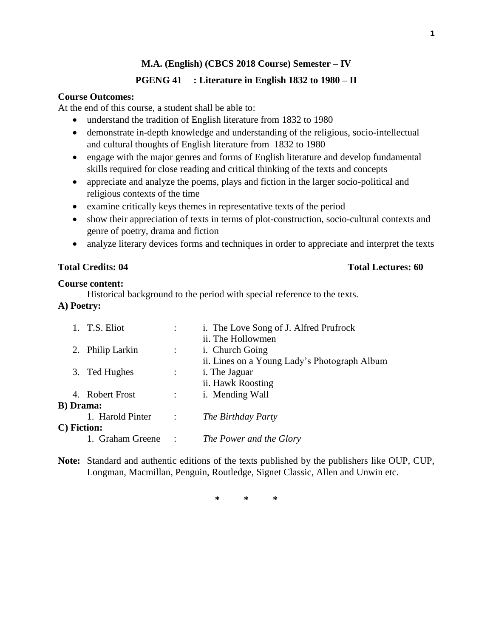# **PGENG 41 : Literature in English 1832 to 1980 – II**

### **Course Outcomes:**

At the end of this course, a student shall be able to:

- understand the tradition of English literature from 1832 to 1980
- demonstrate in-depth knowledge and understanding of the religious, socio-intellectual and cultural thoughts of English literature from 1832 to 1980
- engage with the major genres and forms of English literature and develop fundamental skills required for close reading and critical thinking of the texts and concepts
- appreciate and analyze the poems, plays and fiction in the larger socio-political and religious contexts of the time
- examine critically keys themes in representative texts of the period
- show their appreciation of texts in terms of plot-construction, socio-cultural contexts and genre of poetry, drama and fiction
- analyze literary devices forms and techniques in order to appreciate and interpret the texts

# **Total Credits: 04 Total Lectures: 60**

### **Course content:**

Historical background to the period with special reference to the texts.

# **A) Poetry:**

| 1. T.S. Eliot     |                      | i. The Love Song of J. Alfred Prufrock       |
|-------------------|----------------------|----------------------------------------------|
|                   |                      | ii. The Hollowmen                            |
| 2. Philip Larkin  | $\ddot{\phantom{a}}$ | <i>i.</i> Church Going                       |
|                   |                      | ii. Lines on a Young Lady's Photograph Album |
| 3. Ted Hughes     | $\ddot{\phantom{a}}$ | <i>i</i> . The Jaguar                        |
|                   |                      | ii. Hawk Roosting                            |
| 4. Robert Frost   | $\ddot{\phantom{0}}$ | i. Mending Wall                              |
| <b>B</b> ) Drama: |                      |                                              |
| 1. Harold Pinter  | $\sim$ 1.            | The Birthday Party                           |
| C) Fiction:       |                      |                                              |
| 1. Graham Greene  | $\sim$ :             | The Power and the Glory                      |

**Note:** Standard and authentic editions of the texts published by the publishers like OUP, CUP, Longman, Macmillan, Penguin, Routledge, Signet Classic, Allen and Unwin etc.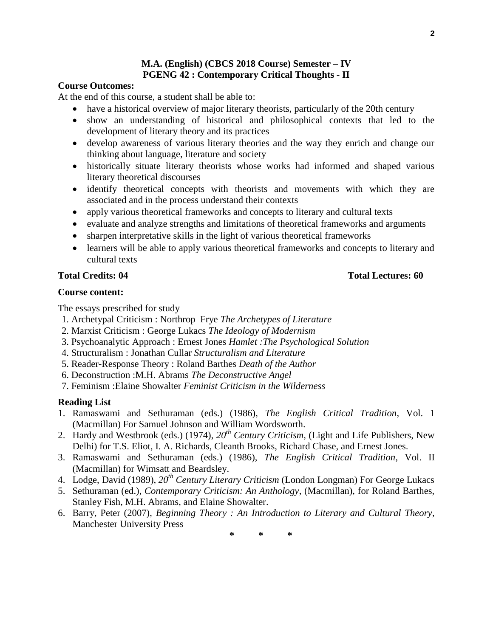# **M.A. (English) (CBCS 2018 Course) Semester – IV PGENG 42 : Contemporary Critical Thoughts - II**

### **Course Outcomes:**

At the end of this course, a student shall be able to:

- have a historical overview of major literary theorists, particularly of the 20th century
- show an understanding of historical and philosophical contexts that led to the development of literary theory and its practices
- develop awareness of various literary theories and the way they enrich and change our thinking about language, literature and society
- historically situate literary theorists whose works had informed and shaped various literary theoretical discourses
- identify theoretical concepts with theorists and movements with which they are associated and in the process understand their contexts
- apply various theoretical frameworks and concepts to literary and cultural texts
- evaluate and analyze strengths and limitations of theoretical frameworks and arguments
- sharpen interpretative skills in the light of various theoretical frameworks
- learners will be able to apply various theoretical frameworks and concepts to literary and cultural texts

### **Course content:**

The essays prescribed for study

- 1. Archetypal Criticism : Northrop Frye *The Archetypes of Literature*
- 2. Marxist Criticism : George Lukacs *The Ideology of Modernism*
- 3. Psychoanalytic Approach : Ernest Jones *Hamlet :The Psychological Solution*
- 4. Structuralism : Jonathan Cullar *Structuralism and Literature*
- 5. Reader-Response Theory : Roland Barthes *Death of the Author*
- 6. Deconstruction :M.H. Abrams *The Deconstructive Angel*
- 7. Feminism :Elaine Showalter *Feminist Criticism in the Wilderness*

#### **Reading List**

- 1. Ramaswami and Sethuraman (eds.) (1986), *The English Critical Tradition*, Vol. 1 (Macmillan) For Samuel Johnson and William Wordsworth.
- 2. Hardy and Westbrook (eds.) (1974), *20th Century Criticism*, (Light and Life Publishers, New Delhi) for T.S. Eliot, I. A. Richards, Cleanth Brooks, Richard Chase, and Ernest Jones.
- 3. Ramaswami and Sethuraman (eds.) (1986), *The English Critical Tradition*, Vol. II (Macmillan) for Wimsatt and Beardsley.
- 4. Lodge, David (1989), *20th Century Literary Criticism* (London Longman) For George Lukacs
- 5. Sethuraman (ed.), *Contemporary Criticism: An Anthology*, (Macmillan), for Roland Barthes, Stanley Fish, M.H. Abrams, and Elaine Showalter.
- 6. Barry, Peter (2007), *Beginning Theory : An Introduction to Literary and Cultural Theory*, Manchester University Press

**\* \* \***

# **Total Credits: 04 Total Lectures: 60**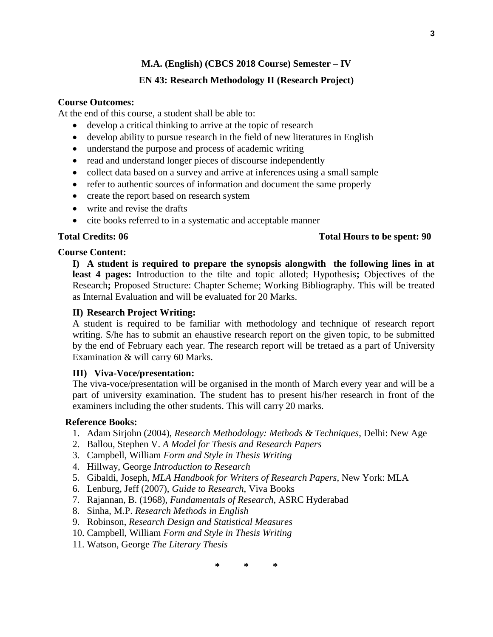# **EN 43: Research Methodology II (Research Project)**

# **Course Outcomes:**

At the end of this course, a student shall be able to:

- develop a critical thinking to arrive at the topic of research
- develop ability to pursue research in the field of new literatures in English
- understand the purpose and process of academic writing
- read and understand longer pieces of discourse independently
- collect data based on a survey and arrive at inferences using a small sample
- refer to authentic sources of information and document the same properly
- create the report based on research system
- write and revise the drafts
- cite books referred to in a systematic and acceptable manner

# **Total Credits: 06 Total Hours to be spent: 90**

# **Course Content:**

**I) A student is required to prepare the synopsis alongwith the following lines in at least 4 pages:** Introduction to the tilte and topic alloted; Hypothesis**;** Objectives of the Research**;** Proposed Structure: Chapter Scheme; Working Bibliography. This will be treated as Internal Evaluation and will be evaluated for 20 Marks.

# **II) Research Project Writing:**

A student is required to be familiar with methodology and technique of research report writing. S/he has to submit an ehaustive research report on the given topic, to be submitted by the end of February each year. The research report will be tretaed as a part of University Examination & will carry 60 Marks.

# **III) Viva-Voce/presentation:**

The viva-voce/presentation will be organised in the month of March every year and will be a part of university examination. The student has to present his/her research in front of the examiners including the other students. This will carry 20 marks.

# **Reference Books:**

- 1. Adam Sirjohn (2004), *Research Methodology: Methods & Techniques*, Delhi: New Age
- 2. Ballou, Stephen V. *A Model for Thesis and Research Papers*
- 3. Campbell, William *Form and Style in Thesis Writing*
- 4. Hillway, George *Introduction to Research*
- 5. Gibaldi, Joseph, *MLA Handbook for Writers of Research Papers*, New York: MLA
- 6. Lenburg, Jeff (2007), *Guide to Research*, Viva Books
- 7. Rajannan, B. (1968), *Fundamentals of Research*, ASRC Hyderabad
- 8. Sinha, M.P. *Research Methods in English*
- 9. Robinson, *Research Design and Statistical Measures*
- 10. Campbell, William *Form and Style in Thesis Writing*
- 11. Watson, George *The Literary Thesis*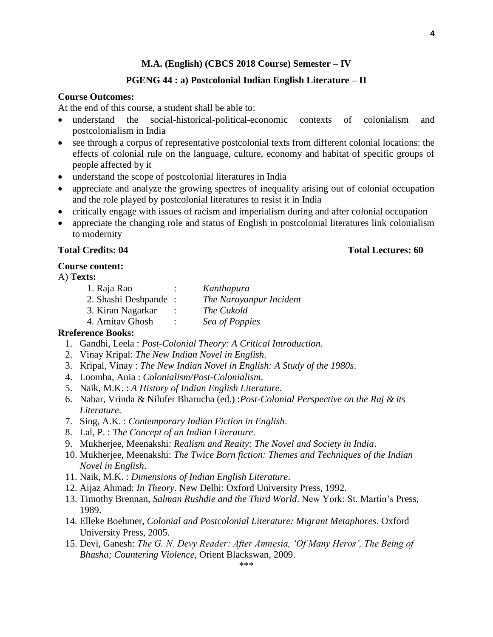### **PGENG 44 : a) Postcolonial Indian English Literature – II**

# **Course Outcomes:**

At the end of this course, a student shall be able to:

- understand the social-historical-political-economic contexts of colonialism and postcolonialism in India
- see through a corpus of representative postcolonial texts from different colonial locations: the effects of colonial rule on the language, culture, economy and habitat of specific groups of people affected by it
- understand the scope of postcolonial literatures in India
- appreciate and analyze the growing spectres of inequality arising out of colonial occupation and the role played by postcolonial literatures to resist it in India
- critically engage with issues of racism and imperialism during and after colonial occupation
- appreciate the changing role and status of English in postcolonial literatures link colonialism to modernity

#### **Total Credits: 04 Total Lectures: 60**

#### **Course content:**

#### A) **Texts:**

| 1. Raja Rao          |           | Kanthapura              |
|----------------------|-----------|-------------------------|
| 2. Shashi Deshpande: |           | The Narayanpur Incident |
| 3. Kiran Nagarkar    |           | The Cukold              |
| 4. Amitav Ghosh      | $\bullet$ | Sea of Poppies          |

#### **Rreference Books:**

- 1. Gandhi, Leela : *Post-Colonial Theory: A Critical Introduction*.
- 2. Vinay Kripal: *The New Indian Novel in English*.
- 3. Kripal, Vinay : *The New Indian Novel in English: A Study of the 1980s*.
- 4. Loomba, Ania : *Colonialism/Post-Colonialism*.
- 5. Naik, M.K. : *A History of Indian English Literature*.
- 6. Nabar, Vrinda & Nilufer Bharucha (ed.) :*Post-Colonial Perspective on the Raj & its Literature*.
- 7. Sing, A.K. : *Contemporary Indian Fiction in English*.
- 8. Lal, P. : *The Concept of an Indian Literature*.
- 9. Mukherjee, Meenakshi: *Realism and Reaity: The Novel and Society in India*.
- 10. Mukherjee, Meenakshi: *The Twice Born fiction: Themes and Techniques of the Indian Novel in English*.
- 11. Naik, M.K. : *Dimensions of Indian English Literature*.
- 12. Aijaz Ahmad: *In Theory*. New Delhi: Oxford University Press, 1992.
- 13. Timothy Brennan, *Salman Rushdie and the Third World*. New York: St. Martin's Press, 1989.
- 14. Elleke Boehmer, *Colonial and Postcolonial Literature: Migrant Metaphores*. Oxford University Press, 2005.
- 15. Devi, Ganesh: *The G. N. Devy Reader: After Amnesia, 'Of Many Heros', The Being of Bhasha; Countering Violence*, Orient Blackswan, 2009.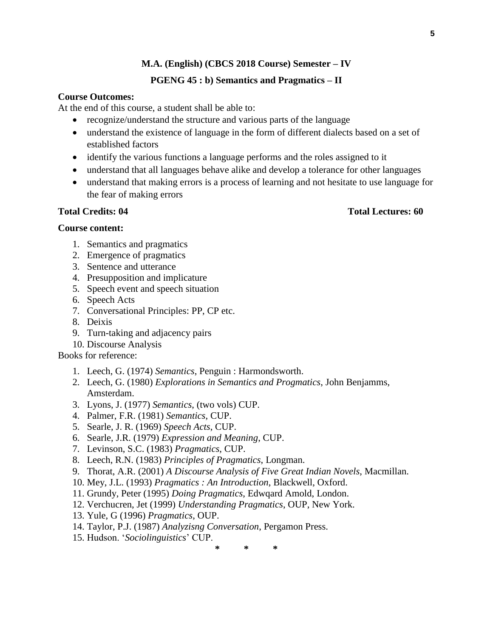# **PGENG 45 : b) Semantics and Pragmatics – II**

# **Course Outcomes:**

At the end of this course, a student shall be able to:

- recognize/understand the structure and various parts of the language
- understand the existence of language in the form of different dialects based on a set of established factors
- identify the various functions a language performs and the roles assigned to it
- understand that all languages behave alike and develop a tolerance for other languages
- understand that making errors is a process of learning and not hesitate to use language for the fear of making errors

# **Course content:**

- 1. Semantics and pragmatics
- 2. Emergence of pragmatics
- 3. Sentence and utterance
- 4. Presupposition and implicature
- 5. Speech event and speech situation
- 6. Speech Acts
- 7. Conversational Principles: PP, CP etc.
- 8. Deixis
- 9. Turn-taking and adjacency pairs
- 10. Discourse Analysis

# Books for reference:

- 1. Leech, G. (1974) *Semantics*, Penguin : Harmondsworth.
- 2. Leech, G. (1980) *Explorations in Semantics and Progmatics*, John Benjamms, Amsterdam.
- 3. Lyons, J. (1977) *Semantics*, (two vols) CUP.
- 4. Palmer, F.R. (1981) *Semantics*, CUP.
- 5. Searle, J. R. (1969) *Speech Acts*, CUP.
- 6. Searle, J.R. (1979) *Expression and Meaning*, CUP.
- 7. Levinson, S.C. (1983) *Pragmatics*, CUP.
- 8. Leech, R.N. (1983) *Principles of Pragmatics*, Longman.
- 9. Thorat, A.R. (2001) *A Discourse Analysis of Five Great Indian Novels*, Macmillan.
- 10. Mey, J.L. (1993) *Pragmatics : An Introduction*, Blackwell, Oxford.
- 11. Grundy, Peter (1995) *Doing Pragmatics*, Edwqard Amold, London.
- 12. Verchucren, Jet (1999) *Understanding Pragmatics*, OUP, New York.
- 13. Yule, G (1996) *Pragmatics*, OUP.
- 14. Taylor, P.J. (1987) *Analyzisng Conversation*, Pergamon Press.
- 15. Hudson. '*Sociolinguistics*' CUP.

**\* \* \***

# **Total Credits: 04 Total Lectures: 60**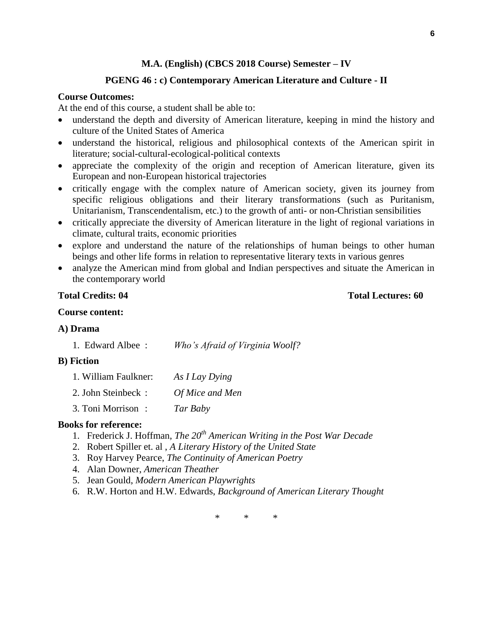#### **PGENG 46 : c) Contemporary American Literature and Culture - II**

#### **Course Outcomes:**

At the end of this course, a student shall be able to:

- understand the depth and diversity of American literature, keeping in mind the history and culture of the United States of America
- understand the historical, religious and philosophical contexts of the American spirit in literature; social-cultural-ecological-political contexts
- appreciate the complexity of the origin and reception of American literature, given its European and non-European historical trajectories
- critically engage with the complex nature of American society, given its journey from specific religious obligations and their literary transformations (such as Puritanism, Unitarianism, Transcendentalism, etc.) to the growth of anti- or non-Christian sensibilities
- critically appreciate the diversity of American literature in the light of regional variations in climate, cultural traits, economic priorities
- explore and understand the nature of the relationships of human beings to other human beings and other life forms in relation to representative literary texts in various genres
- analyze the American mind from global and Indian perspectives and situate the American in the contemporary world

#### **Total Credits: 04 Total Lectures: 60**

# **Course content:**

#### **A) Drama**

1. Edward Albee : *Who's Afraid of Virginia Woolf?*

#### **B) Fiction**

| 1. William Faulkner: | As I Lay Dying  |
|----------------------|-----------------|
| 2. John Steinbeck:   | Of Mice and Men |
| 3. Toni Morrison:    | Tar Baby        |

#### **Books for reference:**

- 1. Frederick J. Hoffman, *The 20th American Writing in the Post War Decade*
- 2. Robert Spiller et. al , *A Literary History of the United State*
- 3. Roy Harvey Pearce, *The Continuity of American Poetry*
- 4. Alan Downer, *American Theather*
- 5. Jean Gould, *Modern American Playwrights*
- 6. R.W. Horton and H.W. Edwards, *Background of American Literary Thought*